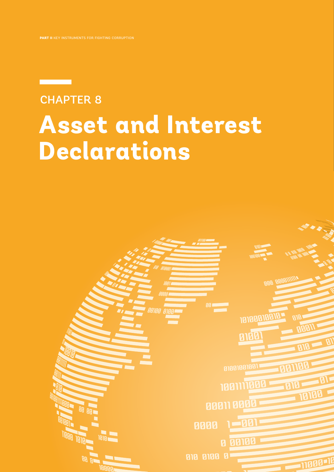# **Asset and Interest Declarations** CHAPTER 8

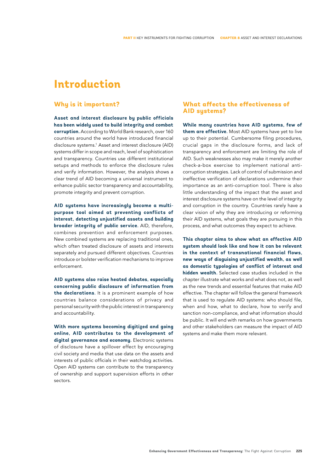# **Introduction**

# **Why is it important?**

**Asset and interest disclosure by public officials has been widely used to build integrity and combat corruption.** According to World Bank research, over 160 countries around the world have introduced financial disclosure systems.<sup>1</sup> Asset and interest disclosure (AID) systems differ in scope and reach, level of sophistication and transparency. Countries use different institutional setups and methods to enforce the disclosure rules and verify information. However, the analysis shows a clear trend of AID becoming a universal instrument to enhance public sector transparency and accountability, promote integrity and prevent corruption.

**AID systems have increasingly become a multipurpose tool aimed at preventing conflicts of interest, detecting unjustified assets and building broader integrity of public service.** AID, therefore, combines prevention and enforcement purposes. New combined systems are replacing traditional ones, which often treated disclosure of assets and interests separately and pursued different objectives. Countries introduce or bolster verification mechanisms to improve enforcement.

**AID systems also raise heated debates, especially concerning public disclosure of information from the declarations.** It is a prominent example of how countries balance considerations of privacy and personal security with the public interest in transparency and accountability.

**With more systems becoming digitized and going online, AID contributes to the development of digital governance and economy.** Electronic systems of disclosure have a spillover effect by encouraging civil society and media that use data on the assets and interests of public officials in their watchdog activities. Open AID systems can contribute to the transparency of ownership and support supervision efforts in other sectors.

# **What affects the effectiveness of AID systems?**

**While many countries have AID systems, few of them are effective.** Most AID systems have yet to live up to their potential. Cumbersome filing procedures, crucial gaps in the disclosure forms, and lack of transparency and enforcement are limiting the role of AID. Such weaknesses also may make it merely another check-a-box exercise to implement national anticorruption strategies. Lack of control of submission and ineffective verification of declarations undermine their importance as an anti-corruption tool. There is also little understanding of the impact that the asset and interest disclosure systems have on the level of integrity and corruption in the country. Countries rarely have a clear vision of why they are introducing or reforming their AID systems, what goals they are pursuing in this process, and what outcomes they expect to achieve.

**This chapter aims to show what an effective AID system should look like and how it can be relevant in the context of transnational financial flows, new ways of disguising unjustified wealth, as well as domestic typologies of conflict of interest and hidden wealth.** Selected case studies included in the chapter illustrate what works and what does not, as well as the new trends and essential features that make AID effective. The chapter will follow the general framework that is used to regulate AID systems: who should file, when and how, what to declare, how to verify and sanction non-compliance, and what information should be public. It will end with remarks on how governments and other stakeholders can measure the impact of AID systems and make them more relevant.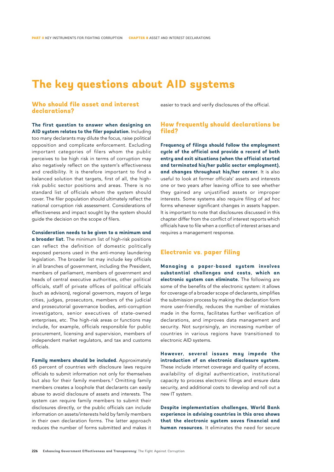# **The key questions about AID systems**

# **Who should file asset and interest declarations?**

**The first question to answer when designing an AID system relates to the filer population.** Including too many declarants may dilute the focus, raise political opposition and complicate enforcement. Excluding important categories of filers whom the public perceives to be high risk in terms of corruption may also negatively reflect on the system's effectiveness and credibility. It is therefore important to find a balanced solution that targets, first of all, the highrisk public sector positions and areas. There is no standard list of officials whom the system should cover. The filer population should ultimately reflect the national corruption risk assessment. Considerations of effectiveness and impact sought by the system should guide the decision on the scope of filers.

**Consideration needs to be given to a minimum and a broader list.** The minimum list of high-risk positions can reflect the definition of domestic politically exposed persons used in the anti-money laundering legislation. The broader list may include key officials in all branches of government, including the President, members of parliament, members of government and heads of central executive authorities, other political officials, staff of private offices of political officials (such as advisors), regional governors, mayors of large cities, judges, prosecutors, members of the judicial and prosecutorial governance bodies, anti-corruption investigators, senior executives of state-owned enterprises, etc. The high-risk areas or functions may include, for example, officials responsible for public procurement, licensing and supervision, members of independent market regulators, and tax and customs officials.

**Family members should be included.** Approximately 65 percent of countries with disclosure laws require officials to submit information not only for themselves but also for their family members.<sup>2</sup> Omitting family members creates a loophole that declarants can easily abuse to avoid disclosure of assets and interests. The system can require family members to submit their disclosures directly, or the public officials can include information on assets/interests held by family members in their own declaration forms. The latter approach reduces the number of forms submitted and makes it easier to track and verify disclosures of the official.

# **How frequently should declarations be filed?**

**Frequency of filings should follow the employment cycle of the official and provide a record of both entry and exit situations (when the official started and terminated his/her public sector employment), and changes throughout his/her career.** It is also useful to look at former officials' assets and interests one or two years after leaving office to see whether they gained any unjustified assets or improper interests. Some systems also require filing of *ad hoc*  forms whenever significant changes in assets happen. It is important to note that disclosures discussed in this chapter differ from the conflict of interest reports which officials have to file when a conflict of interest arises and requires a management response.

## **Electronic vs. paper filing**

**Managing a paper-based system involves substantial challenges and costs, which an electronic system can eliminate.** The following are some of the benefits of the electronic system: it allows for coverage of a broader scope of declarants, simplifies the submission process by making the declaration form more user-friendly, reduces the number of mistakes made in the forms, facilitates further verification of declarations, and improves data management and security. Not surprisingly, an increasing number of countries in various regions have transitioned to electronic AID systems.

**However, several issues may impede the introduction of an electronic disclosure system.** These include internet coverage and quality of access, availability of digital authentication, institutional capacity to process electronic filings and ensure data security, and additional costs to develop and roll out a new IT system.

**Despite implementation challenges, World Bank experience in advising countries in this area shows that the electronic system saves financial and human resources.** It eliminates the need for secure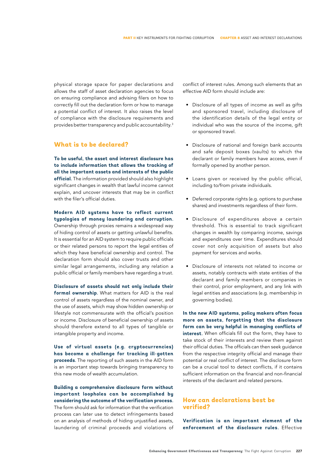physical storage space for paper declarations and allows the staff of asset declaration agencies to focus on ensuring compliance and advising filers on how to correctly fill out the declaration form or how to manage a potential conflict of interest. It also raises the level of compliance with the disclosure requirements and provides better transparency and public accountability.3

# **What is to be declared?**

**To be useful, the asset and interest disclosure has to include information that allows the tracking of all the important assets and interests of the public official.** The information provided should also highlight significant changes in wealth that lawful income cannot explain, and uncover interests that may be in conflict with the filer's official duties.

#### **Modern AID systems have to reflect current typologies of money laundering and corruption.**

Ownership through proxies remains a widespread way of hiding control of assets or getting unlawful benefits. It is essential for an AID system to require public officials or their related persons to report the legal entities of which they have beneficial ownership and control. The declaration form should also cover trusts and other similar legal arrangements, including any relation a public official or family members have regarding a trust.

**Disclosure of assets should not only include their formal ownership.** What matters for AID is the real control of assets regardless of the nominal owner, and the use of assets, which may show hidden ownership or lifestyle not commensurate with the official's position or income. Disclosure of beneficial ownership of assets should therefore extend to all types of tangible or intangible property and income.

**Use of virtual assets (e.g. cryptocurrencies) has become a challenge for tracking ill-gotten proceeds.** The reporting of such assets in the AID form is an important step towards bringing transparency to this new mode of wealth accumulation.

**Building a comprehensive disclosure form without important loopholes can be accomplished by considering the outcome of the verification process.** The form should ask for information that the verification process can later use to detect infringements based on an analysis of methods of hiding unjustified assets, laundering of criminal proceeds and violations of

conflict of interest rules. Among such elements that an effective AID form should include are:

- Disclosure of all types of income as well as gifts and sponsored travel, including disclosure of the identification details of the legal entity or individual who was the source of the income, gift or sponsored travel.
- Disclosure of national and foreign bank accounts and safe deposit boxes (vaults) to which the declarant or family members have access, even if formally opened by another person.
- Loans given or received by the public official, including to/from private individuals.
- Deferred corporate rights (e.g. options to purchase shares) and investments regardless of their form.
- Disclosure of expenditures above a certain threshold. This is essential to track significant changes in wealth by comparing income, savings and expenditures over time. Expenditures should cover not only acquisition of assets but also payment for services and works.
- Disclosure of interests not related to income or assets, notably contracts with state entities of the declarant and family members or companies in their control, prior employment, and any link with legal entities and associations (e.g. membership in governing bodies).

In the new AID sustems, policy makers often focus **more on assets, forgetting that the disclosure form can be very helpful in managing conflicts of interest.** When officials fill out the form, they have to take stock of their interests and review them against their official duties. The officials can then seek guidance from the respective integrity official and manage their potential or real conflict of interest. The disclosure form can be a crucial tool to detect conflicts, if it contains sufficient information on the financial and non-financial interests of the declarant and related persons.

# **How can declarations best be verified?**

**Verification is an important element of the enforcement of the disclosure rules.** Effective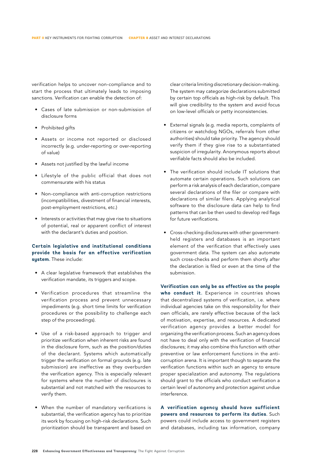verification helps to uncover non-compliance and to start the process that ultimately leads to imposing sanctions. Verification can enable the detection of:

- Cases of late submission or non-submission of disclosure forms
- Prohibited gifts
- Assets or income not reported or disclosed incorrectly (e.g. under-reporting or over-reporting of value)
- Assets not justified by the lawful income
- Lifestyle of the public official that does not commensurate with his status
- Non-compliance with anti-corruption restrictions (incompatibilities, divestment of financial interests, post-employment restrictions, etc.)
- Interests or activities that may give rise to situations of potential, real or apparent conflict of interest with the declarant's duties and position.

## **Certain legislative and institutional conditions provide the basis for an effective verification system.** These include:

- A clear legislative framework that establishes the verification mandate, its triggers and scope.
- Verification procedures that streamline the verification process and prevent unnecessary impediments (e.g. short time limits for verification procedures or the possibility to challenge each step of the proceedings).
- Use of a risk-based approach to trigger and prioritize verification when inherent risks are found in the disclosure form, such as the position/duties of the declarant. Systems which automatically trigger the verification on formal grounds (e.g. late submission) are ineffective as they overburden the verification agency. This is especially relevant for systems where the number of disclosures is substantial and not matched with the resources to verify them.
- When the number of mandatory verifications is substantial, the verification agency has to prioritize its work by focusing on high-risk declarations. Such prioritization should be transparent and based on

clear criteria limiting discretionary decision-making. The system may categorize declarations submitted by certain top officials as high-risk by default. This will give credibility to the system and avoid focus on low-level officials or petty inconsistencies.

- External signals (e.g. media reports, complaints of citizens or watchdog NGOs, referrals from other authorities) should take priority. The agency should verify them if they give rise to a substantiated suspicion of irregularity. Anonymous reports about verifiable facts should also be included.
- The verification should include IT solutions that automate certain operations. Such solutions can perform a risk analysis of each declaration, compare several declarations of the filer or compare with declarations of similar filers. Applying analytical software to the disclosure data can help to find patterns that can be then used to develop red flags for future verifications.
- Cross-checking disclosures with other governmentheld registers and databases is an important element of the verification that effectively uses government data. The system can also automate such cross-checks and perform them shortly after the declaration is filed or even at the time of the submission.

**Verification can only be as effective as the people who conduct it.** Experience in countries shows that decentralized systems of verification, i.e. where individual agencies take on this responsibility for their own officials, are rarely effective because of the lack of motivation, expertise, and resources. A dedicated verification agency provides a better model for organizing the verification process. Such an agency does not have to deal only with the verification of financial disclosures; it may also combine this function with other preventive or law enforcement functions in the anticorruption arena. It is important though to separate the verification functions within such an agency to ensure proper specialization and autonomy. The regulations should grant to the officials who conduct verification a certain level of autonomy and protection against undue interference.

**A verification agency should have sufficient powers and resources to perform its duties.** Such powers could include access to government registers and databases, including tax information, company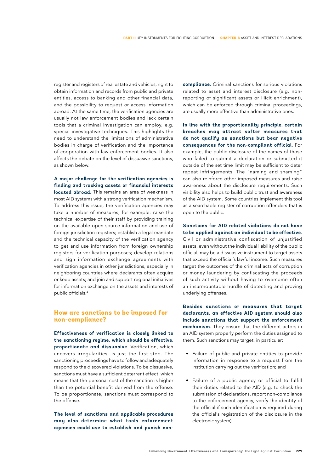register and registers of real estate and vehicles, right to obtain information and records from public and private entities, access to banking and other financial data, and the possibility to request or access information abroad. At the same time, the verification agencies are usually not law enforcement bodies and lack certain tools that a criminal investigation can employ, e.g. special investigative techniques. This highlights the need to understand the limitations of administrative bodies in charge of verification and the importance of cooperation with law enforcement bodies. It also affects the debate on the level of dissuasive sanctions, as shown below.

**A major challenge for the verification agencies is finding and tracking assets or financial interests located abroad.** This remains an area of weakness in most AID systems with a strong verification mechanism. To address this issue, the verification agencies may take a number of measures, for example: raise the technical expertise of their staff by providing training on the available open source information and use of foreign jurisdiction registers; establish a legal mandate and the technical capacity of the verification agency to get and use information from foreign ownership registers for verification purposes; develop relations and sign information exchange agreements with verification agencies in other jurisdictions, especially in neighboring countries where declarants often acquire or keep assets; and join and support regional initiatives for information exchange on the assets and interests of public officials.4

## **How are sanctions to be imposed for non-compliance?**

**Effectiveness of verification is closely linked to the sanctioning regime, which should be effective, proportionate and dissuasive.** Verification, which uncovers irregularities, is just the first step. The sanctioning proceedings have to follow and adequately respond to the discovered violations. To be dissuasive, sanctions must have a sufficient deterrent effect, which means that the personal cost of the sanction is higher than the potential benefit derived from the offense. To be proportionate, sanctions must correspond to the offense.

**The level of sanctions and applicable procedures may also determine what tools enforcement agencies could use to establish and punish non-** **compliance.** Criminal sanctions for serious violations related to asset and interest disclosure (e.g. nonreporting of significant assets or illicit enrichment), which can be enforced through criminal proceedings, are usually more effective than administrative ones.

**In line with the proportionality principle, certain breaches may attract softer measures that do not qualify as sanctions but bear negative consequences for the non-compliant official.** For example, the public disclosure of the names of those who failed to submit a declaration or submitted it outside of the set time limit may be sufficient to deter repeat infringements. The "naming and shaming" can also reinforce other imposed measures and raise awareness about the disclosure requirements. Such visibility also helps to build public trust and awareness of the AID system. Some countries implement this tool as a searchable register of corruption offenders that is open to the public.

**Sanctions for AID related violations do not have to be applied against an individual to be effective.** Civil or administrative confiscation of unjustified assets, even without the individual liability of the public official, may be a dissuasive instrument to target assets that exceed the official's lawful income. Such measures target the outcomes of the criminal acts of corruption or money laundering by confiscating the proceeds of such activity without having to overcome often an insurmountable hurdle of detecting and proving underlying offenses.

**Besides sanctions or measures that target declarants, an effective AID system should also include sanctions that support the enforcement mechanism.** They ensure that the different actors in an AID system properly perform the duties assigned to them. Such sanctions may target, in particular:

- Failure of public and private entities to provide information in response to a request from the institution carrying out the verification; and
- Failure of a public agency or official to fulfill their duties related to the AID (e.g. to check the submission of declarations, report non-compliance to the enforcement agency, verify the identity of the official if such identification is required during the official's registration of the disclosure in the electronic system).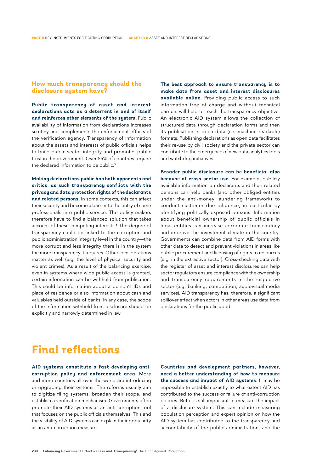## **How much transparency should the disclosure system have?**

**Public transparency of asset and interest declarations acts as a deterrent in and of itself and reinforces other elements of the system.** Public availability of information from declarations increases scrutiny and complements the enforcement efforts of the verification agency. Transparency of information about the assets and interests of public officials helps to build public sector integrity and promotes public trust in the government. Over 55% of countries require the declared information to be public.<sup>5</sup>

**Making declarations public has both opponents and critics, as such transparency conflicts with the privacy and data protection rights of the declarants and related persons.** In some contexts, this can affect their security and become a barrier to the entry of some professionals into public service. The policy makers therefore have to find a balanced solution that takes account of these competing interests.6 The degree of transparency could be linked to the corruption and public administration integrity level in the country—the more corrupt and less integrity there is in the system the more transparency it requires. Other considerations matter as well (e.g. the level of physical security and violent crimes). As a result of the balancing exercise, even in systems where wide public access is granted, certain information can be withheld from publication. This could be information about a person's IDs and place of residence or also information about cash and valuables held outside of banks. In any case, the scope of the information withheld from disclosure should be explicitly and narrowly determined in law.

**The best approach to ensure transparency is to make data from asset and interest disclosures available online.** Providing public access to such information free of charge and without technical barriers will help to reach the transparency objective. An electronic AID system allows the collection of structured data through declaration forms and then its publication in open data (i.e. machine-readable) formats. Publishing declarations as open data facilitates their re-use by civil society and the private sector can contribute to the emergence of new data analytics tools and watchdog initiatives.

**Broader public disclosure can be beneficial also because of cross-sector use.** For example, publicly available information on declarants and their related persons can help banks (and other obliged entities under the anti-money laundering framework) to conduct customer due diligence, in particular by identifying politically exposed persons. Information about beneficial ownership of public officials in legal entities can increase corporate transparency and improve the investment climate in the country. Governments can combine data from AID forms with other data to detect and prevent violations in areas like public procurement and licensing of rights to resources (e.g. in the extractive sector). Cross-checking data with the register of asset and interest disclosures can help sector regulators ensure compliance with the ownership and transparency requirements in the respective sector (e.g. banking, competition, audiovisual media services). AID transparency has, therefore, a significant spillover effect when actors in other areas use data from declarations for the public good.

# **Final reflections**

AID sustems constitute a fast-developing anti**corruption policy and enforcement area.** More and more countries all over the world are introducing or upgrading their systems. The reforms usually aim to digitize filing systems, broaden their scope, and establish a verification mechanism. Governments often promote their AID systems as an anti-corruption tool that focuses on the public officials themselves. This and the visibility of AID systems can explain their popularity as an anti-corruption measure.

**Countries and development partners, however, need a better understanding of how to measure the success and impact of AID systems.** It may be impossible to establish exactly to what extent AID has contributed to the success or failure of anti-corruption policies. But it is still important to measure the impact of a disclosure system. This can include measuring population perception and expert opinion on how the AID system has contributed to the transparency and accountability of the public administration, and the